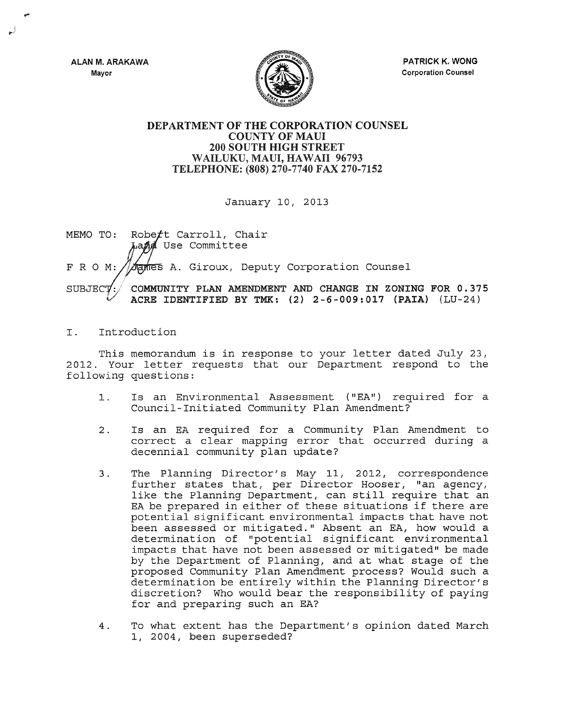ALAN M. ARAKAWA Mayor



PATRICK K. WONG Corporation Counsel

## DEPARTMENT OF THE CORPORATION COUNSEL COUNTY OF MAUl 200 SOUTH HIGH STREET WAILUKU, MAUl, HAWAII 96793 TELEPHONE: (808) 270-7740 FAX 270-7152

January 10, 2013

Robett Carroll, Chair MEMO TO: La*nd* Use Committee FROM: tames A. Giroux, Deputy Corporation Counsel COMMUNITY PLAN AMENDMENT AND CHANGE IN ZONING FOR 0.375 SUBJECT ACRE IDENTIFIED BY TMK: (2) 2-6-009:017 (PAIA) (LU-24)

## I. Introduction

This memorandum is in response to your letter dated July 23, 2012. Your letter requests that our Department respond to the following questions:

- 1. Is an Environmental Assessment ( "EA") required for a Council-Initiated Community Plan Amendment?
- 2. Is an EA required for a Community Plan Amendment to correct a clear mapping error that occurred during a decennial community plan update?
- 3. The Planning Director's May 11, 2012, correspondence further states that, per Director Hooser, "an agency, like the Planning Department, can still require that an EA be prepared in either of these situations if there are potential significant environmental impacts that have not been assessed or mitigated." Absent an EA, how would a determination of "potential significant environmental impacts that have not been assessed or mitigated" be made by the Department of Planning, and at what stage of the proposed Community Plan Amendment process? Would such a determination be entirely within the Planning Director's discretion? Who would bear the responsibility of paying for and preparing such an EA?
- 4. To what extent has the Department's opinion dated March 1, 2004, been superseded?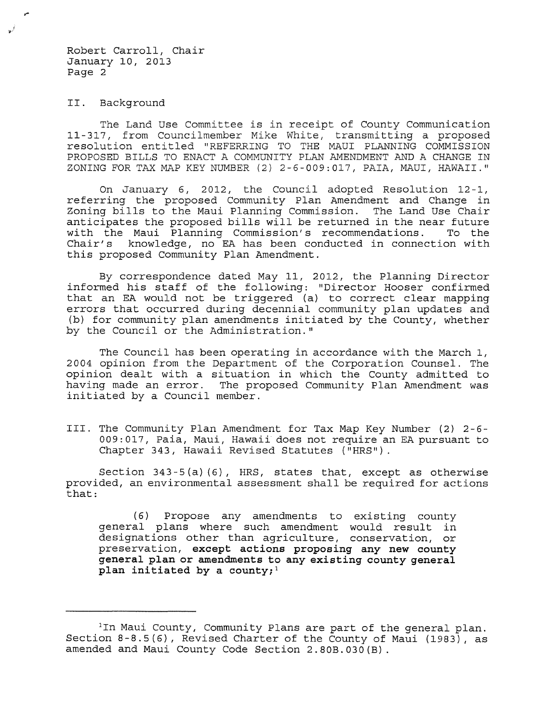Robert Carroll, Chair January 10, 2013 Page 2

II. Background

The Land Use Committee is in receipt of County Communication 11-317, from Councilmember Mike White, transmitting a proposed resolution entitled "REFERRING TO THE MAUI PLANNING COMMISSION PROPOSED BILLS TO ENACT A COMMUNITY PLAN AMENDMENT AND A CHANGE IN ZONING FOR TAX MAP KEY NUMBER (2) 2-6-009:017, PAIA, MAUI, HAWAII."

On January 6, 2012, the Council adopted Resolution 12-1, referring the proposed Community Plan Amendment and Change in Zoning bills to the Maui Planning Commission. The Land Use Chair anticipates the proposed bills will be returned in the near future<br>with the Maui Planning Commission's recommendations. To the with the Maui Planning Commission's recommendations.<br>Chair's knowledge, no EA has been conducted in connect knowledge, no EA has been conducted in connection with this proposed Community Plan Amendment.

By correspondence dated May 11, 2012, the Planning Director informed his staff of the following: "Director Hooser confirmed that an EA would not be triggered (a) to correct clear mapping errors that occurred during decennial community plan updates and (b) for community plan amendments initiated by the County, whether by the Council or the Administration."

The Council has been operating in accordance with the March 1, 2004 opinion from the Department of the Corporation Counsel. The opinion dealt with a situation in which the County admitted to The proposed Community Plan Amendment was initiated by a Council member.

III. The Community Plan Amendment for Tax Map Key Number (2} 2-6- 009:017, Paia, Maui, Hawaii does not require an EA pursuant to Chapter 343, Hawaii Revised Statutes ("HRS").

Section  $343-5(a)$  (6), HRS, states that, except as otherwise provided, an environmental assessment shall be required for actions that:

(6) Propose any amendments to existing county general plans where such amendment would result in designations other than agriculture, conservation, or preservation, **except actions proposing any new county general plan or amendments to any existing county general plan initiated by a county; <sup>1</sup>**

<sup>&</sup>lt;sup>1</sup>In Maui County, Community Plans are part of the general plan. Section 8-8.5(6), Revised Charter of the County of Maui (1983), as amended and Maui County Code Section 2.80B.030(B}.